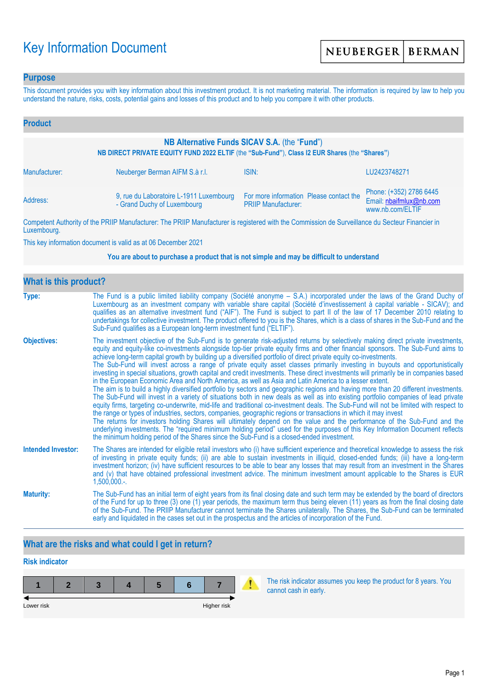# Key Information Document

### **Purpose**

This document provides you with key information about this investment product. It is not marketing material. The information is required by law to help you understand the nature, risks, costs, potential gains and losses of this product and to help you compare it with other products.

| <b>Product</b>                                                                                                                                |                                                                        |                                                                       |                                                                        |  |
|-----------------------------------------------------------------------------------------------------------------------------------------------|------------------------------------------------------------------------|-----------------------------------------------------------------------|------------------------------------------------------------------------|--|
| NB Alternative Funds SICAV S.A. (the "Fund")<br>NB DIRECT PRIVATE EQUITY FUND 2022 ELTIF (the "Sub-Fund"), Class I2 EUR Shares (the "Shares") |                                                                        |                                                                       |                                                                        |  |
| Manufacturer:                                                                                                                                 | Neuberger Berman AIFM S.à r.l.                                         | ISIN:                                                                 | LU2423748271                                                           |  |
| Address:                                                                                                                                      | 9, rue du Laboratoire L-1911 Luxembourg<br>- Grand Duchy of Luxembourg | For more information Please contact the<br><b>PRIIP Manufacturer:</b> | Phone: (+352) 2786 6445<br>Email: nbaifmlux@nb.com<br>www.nb.com/ELTIF |  |

Competent Authority of the PRIIP Manufacturer: The PRIIP Manufacturer is registered with the Commission de Surveillance du Secteur Financier in Luxembourg.

This key information document is valid as at 06 December 2021

#### **You are about to purchase a product that is not simple and may be difficult to understand**

| <b>What is this product?</b> |                                                                                                                                                                                                                                                                                                                                                                                                                                                                                                                                                                                                                                                                                                                                                                                                                                                                                                                                                                                                                                                                                                                                                                                                                                                                                                                                                                                                                                                                                                                                                                                                                                                                               |  |  |  |
|------------------------------|-------------------------------------------------------------------------------------------------------------------------------------------------------------------------------------------------------------------------------------------------------------------------------------------------------------------------------------------------------------------------------------------------------------------------------------------------------------------------------------------------------------------------------------------------------------------------------------------------------------------------------------------------------------------------------------------------------------------------------------------------------------------------------------------------------------------------------------------------------------------------------------------------------------------------------------------------------------------------------------------------------------------------------------------------------------------------------------------------------------------------------------------------------------------------------------------------------------------------------------------------------------------------------------------------------------------------------------------------------------------------------------------------------------------------------------------------------------------------------------------------------------------------------------------------------------------------------------------------------------------------------------------------------------------------------|--|--|--|
| Type:                        | The Fund is a public limited liability company (Société anonyme - S.A.) incorporated under the laws of the Grand Duchy of<br>Luxembourg as an investment company with variable share capital (Société d'investissement à capital variable - SICAV); and<br>qualifies as an alternative investment fund ("AIF"). The Fund is subject to part II of the law of 17 December 2010 relating to<br>undertakings for collective investment. The product offered to you is the Shares, which is a class of shares in the Sub-Fund and the<br>Sub-Fund qualifies as a European long-term investment fund ("ELTIF").                                                                                                                                                                                                                                                                                                                                                                                                                                                                                                                                                                                                                                                                                                                                                                                                                                                                                                                                                                                                                                                                    |  |  |  |
| <b>Objectives:</b>           | The investment objective of the Sub-Fund is to generate risk-adjusted returns by selectively making direct private investments,<br>equity and equity-like co-investments alongside top-tier private equity firms and other financial sponsors. The Sub-Fund aims to<br>achieve long-term capital growth by building up a diversified portfolio of direct private equity co-investments.<br>The Sub-Fund will invest across a range of private equity asset classes primarily investing in buyouts and opportunistically<br>investing in special situations, growth capital and credit investments. These direct investments will primarily be in companies based<br>in the European Economic Area and North America, as well as Asia and Latin America to a lesser extent.<br>The aim is to build a highly diversified portfolio by sectors and geographic regions and having more than 20 different investments.<br>The Sub-Fund will invest in a variety of situations both in new deals as well as into existing portfolio companies of lead private<br>equity firms, targeting co-underwrite, mid-life and traditional co-investment deals. The Sub-Fund will not be limited with respect to<br>the range or types of industries, sectors, companies, geographic regions or transactions in which it may invest<br>The returns for investors holding Shares will ultimately depend on the value and the performance of the Sub-Fund and the<br>underlying investments. The "required minimum holding period" used for the purposes of this Key Information Document reflects<br>the minimum holding period of the Shares since the Sub-Fund is a closed-ended investment. |  |  |  |
| <b>Intended Investor:</b>    | The Shares are intended for eligible retail investors who (i) have sufficient experience and theoretical knowledge to assess the risk<br>of investing in private equity funds; (ii) are able to sustain investments in illiquid, closed-ended funds; (iii) have a long-term<br>investment horizon; (iv) have sufficient resources to be able to bear any losses that may result from an investment in the Shares<br>and (v) that have obtained professional investment advice. The minimum investment amount applicable to the Shares is EUR<br>$1,500,000.$ -.                                                                                                                                                                                                                                                                                                                                                                                                                                                                                                                                                                                                                                                                                                                                                                                                                                                                                                                                                                                                                                                                                                               |  |  |  |
| <b>Maturity:</b>             | The Sub-Fund has an initial term of eight years from its final closing date and such term may be extended by the board of directors<br>of the Fund for up to three (3) one (1) year periods, the maximum term thus being eleven (11) years as from the final closing date<br>of the Sub-Fund. The PRIIP Manufacturer cannot terminate the Shares unilaterally. The Shares, the Sub-Fund can be terminated<br>early and liquidated in the cases set out in the prospectus and the articles of incorporation of the Fund.                                                                                                                                                                                                                                                                                                                                                                                                                                                                                                                                                                                                                                                                                                                                                                                                                                                                                                                                                                                                                                                                                                                                                       |  |  |  |

# **What are the risks and what could I get in return?**

# **Risk indicator**



The risk indicator assumes you keep the product for 8 years. You cannot cash in early.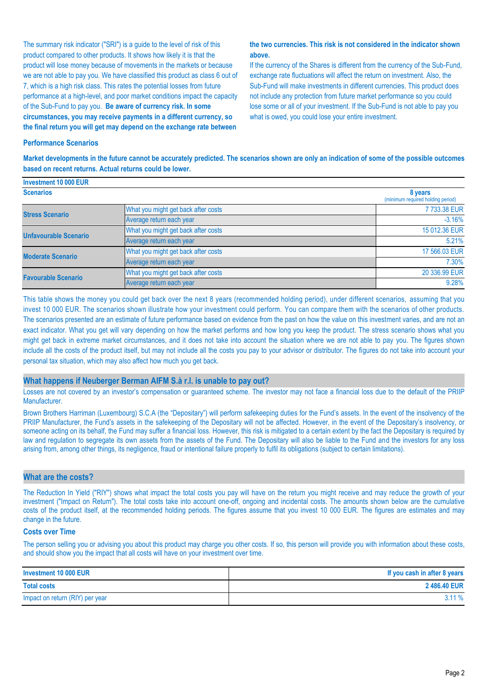The summary risk indicator ("SRI") is a guide to the level of risk of this product compared to other products. It shows how likely it is that the product will lose money because of movements in the markets or because we are not able to pay you. We have classified this product as class 6 out of 7, which is a high risk class. This rates the potential losses from future performance at a high-level, and poor market conditions impact the capacity of the Sub-Fund to pay you. **Be aware of currency risk. In some circumstances, you may receive payments in a different currency, so the final return you will get may depend on the exchange rate between** 

#### **the two currencies. This risk is not considered in the indicator shown above.**

If the currency of the Shares is different from the currency of the Sub-Fund, exchange rate fluctuations will affect the return on investment. Also, the Sub-Fund will make investments in different currencies. This product does not include any protection from future market performance so you could lose some or all of your investment. If the Sub-Fund is not able to pay you what is owed, you could lose your entire investment.

#### **Performance Scenarios**

**Market developments in the future cannot be accurately predicted. The scenarios shown are only an indication of some of the possible outcomes based on recent returns. Actual returns could be lower.**

| Investment 10 000 EUR        |                                     |                                              |
|------------------------------|-------------------------------------|----------------------------------------------|
| <b>Scenarios</b>             |                                     | 8 years<br>(minimum required holding period) |
| <b>Stress Scenario</b>       | What you might get back after costs | 7733.38 EUR                                  |
|                              | Average return each year            | $-3.16%$                                     |
| <b>Unfavourable Scenario</b> | What you might get back after costs | 15 012.36 EUR                                |
|                              | Average return each year            | 5.21%                                        |
| <b>Moderate Scenario</b>     | What you might get back after costs | 17 566,03 EUR                                |
|                              | Average return each year            | 7.30%                                        |
| <b>Favourable Scenario</b>   | What you might get back after costs | 20 336,99 EUR                                |
|                              | Average return each year            | 9.28%                                        |

This table shows the money you could get back over the next 8 years (recommended holding period), under different scenarios, assuming that you invest 10 000 EUR. The scenarios shown illustrate how your investment could perform. You can compare them with the scenarios of other products. The scenarios presented are an estimate of future performance based on evidence from the past on how the value on this investment varies, and are not an exact indicator. What you get will vary depending on how the market performs and how long you keep the product. The stress scenario shows what you might get back in extreme market circumstances, and it does not take into account the situation where we are not able to pay you. The figures shown include all the costs of the product itself, but may not include all the costs you pay to your advisor or distributor. The figures do not take into account your personal tax situation, which may also affect how much you get back.

#### **What happens if Neuberger Berman AIFM S.à r.l. is unable to pay out?**

Losses are not covered by an investor's compensation or guaranteed scheme. The investor may not face a financial loss due to the default of the PRIIP Manufacturer.

Brown Brothers Harriman (Luxembourg) S.C.A (the "Depositary") will perform safekeeping duties for the Fund's assets. In the event of the insolvency of the PRIIP Manufacturer, the Fund's assets in the safekeeping of the Depositary will not be affected. However, in the event of the Depositary's insolvency, or someone acting on its behalf, the Fund may suffer a financial loss. However, this risk is mitigated to a certain extent by the fact the Depositary is required by law and regulation to segregate its own assets from the assets of the Fund. The Depositary will also be liable to the Fund and the investors for any loss arising from, among other things, its negligence, fraud or intentional failure properly to fulfil its obligations (subject to certain limitations).

#### **What are the costs?**

The Reduction In Yield ("RIY") shows what impact the total costs you pay will have on the return you might receive and may reduce the growth of your investment ("Impact on Return"). The total costs take into account one-off, ongoing and incidental costs. The amounts shown below are the cumulative costs of the product itself, at the recommended holding periods. The figures assume that you invest 10 000 EUR. The figures are estimates and may change in the future.

#### **Costs over Time**

The person selling you or advising you about this product may charge you other costs. If so, this person will provide you with information about these costs, and should show you the impact that all costs will have on your investment over time.

| Investment 10 000 EUR           | If you cash in after 8 years |
|---------------------------------|------------------------------|
| <b>Total costs</b>              | 2486.40 EUR                  |
| Impact on return (RIY) per year | $3.11\%$                     |